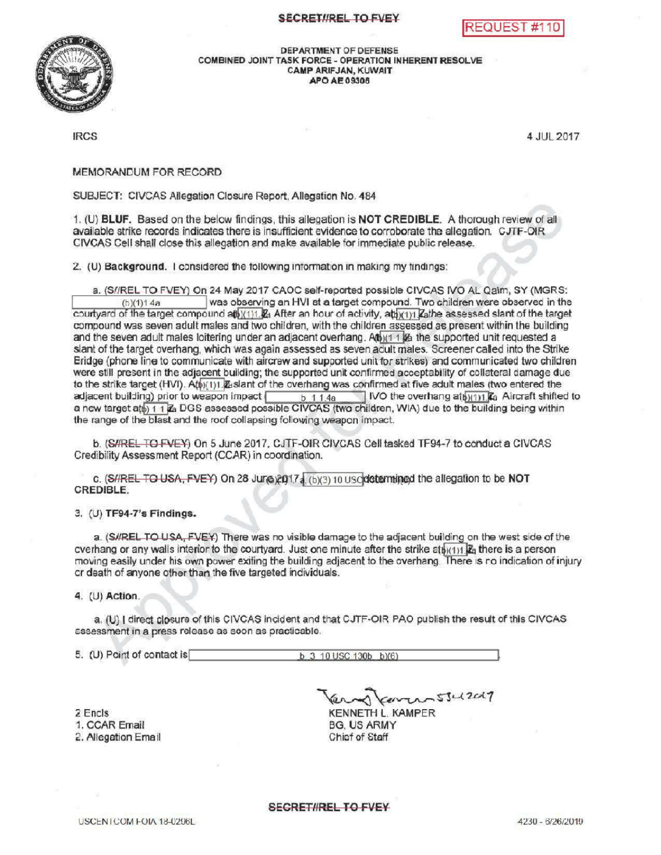## SECRET//REL TO FVEY





DEPARTMENTOF DEFENSE COMBINED JOINT TASK FORCE - OPERATION INHERENT RESOLVE CAMP ARIFJAN, KUWAIT APOAE09306

IRCS <sup>4</sup> JUL 2017

MEMORANDUM FOR RECORD

SUBJECT: CIVCAS Allegation Closure Report, Allegation No. 484

1. (U) BLUF. Based on the below findings, this allegation is NOT CREDIBLE. A thorough review of all available strike records indicates there is insufficient evidence to corroborate the allegation. CJTF-OIR CIVCAS Cell shall closethis allegation and make available for immediate public release.

2. (U) Background. I considered the following information in making my findings:

able strike records indicates there is insufficient evidence to corroborate the allegation. CJTF-OIR<br>CAS Cell shall close this allegation and make available for immediate public release.<br>(b) Background. I considered the fo courtyard of the target compound atb<u>)(1)1  $R_1$ </u> After an hour of activity, atb<u>)(1)1  $\rm{Z}$ athe assessed slant of the target</u> compound was seven adult males and two children, with the children assessed as present within the building and the seven adult males loitering under an adjacent overhang.  $A(b)(1 + 1/2a)$  the supported unit requested a slant of the target overhang, which was again assessed as seven adult males. Screener called into the Strike Bridge (phone line to communicate with aircrew and supported unit for strikes) and communicated two children were still present in the adjacent building; the supported unit confirmed acceptability of collateral damage due to the strike target (HVI).  $\hat{A}_{1}^{(p)(1)}$   $\mathbb{Z}_{1}$  slant of the overhang was confirmed at five adult males (two entered the adjacent building) prior to weapon impact  $\begin{array}{|c|c|c|c|c|}\n & b & 1 & 1 & 4a & \text{IVO} & \text{the overhang at} & \text{My11} & \text{K}_2 & \text{Aircuit shifted to} \n\end{array}$ augacent building) prior to weapon impact  $\frac{6}{1.4a}$  of 1.4a<br>a new target attb) 1.1 Za DGS assessed possible CIVCAS (two children, WIA) due to the building being within the range of the blast and the roof collapsing following weapon impact.

b. (S/IREL TO FVEY) On 5 June 2017, CJTF-OIR CIVCAS Cell tasked TF94-7 to conduct a CIVCAS CredibilityAssessment Report (CCAR ) in coordination.

c. (S//REL TO USA, FVEY) On 28 Juno 2017 3 (b)(3) 10 Usclode the mine of the allegation to be NOT CREDIBLE

3. (U) TF94-7's Findings .

a. (SIREL TO USA, FVEY) There was no visible damage to the adjacent building on the west side of the cverhang or any walls interior to the courtyard. Just one minute after the strike at  $h(1)$   $R_2$  there is a person moving easily under his own power exiting the building adjacent to the overhang. There is no indication of injury or death of anyone other than the five targeted individuals .

4. (U) Action

a. (U) I direct closure of this CIVCAS incident and that CJTF-OIR PAO publish the result of this CIVCAS assessment in a press release as soon as practicable.

5. (U) Point of contact is  $\overline{b}$  3 10 USC 130b b)(6)

2 Encls

1. CCAR Email

2. Allegation Email

Kerren 5342017 KENNETH L. KAMPER **BG. US ARMY** Chief of Staff

**SECRET/IREL TO FVEY**